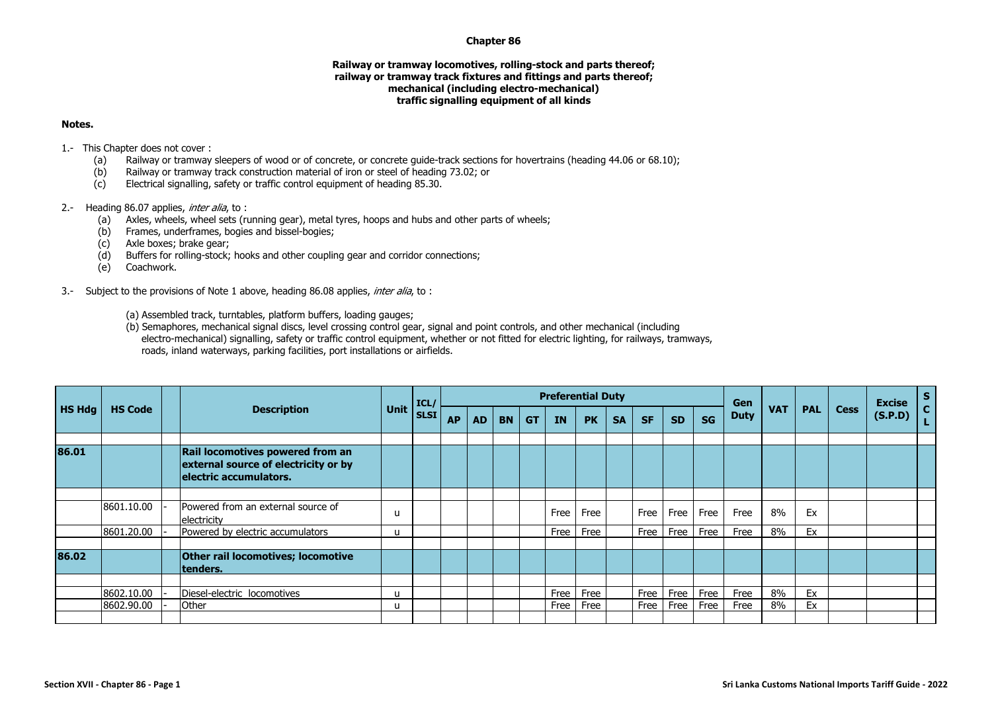## **Chapter 86**

## **Railway or tramway locomotives, rolling-stock and parts thereof; railway or tramway track fixtures and fittings and parts thereof; mechanical (including electro-mechanical) traffic signalling equipment of all kinds**

## **Notes.**

1.- This Chapter does not cover :

- (a) Railway or tramway sleepers of wood or of concrete, or concrete guide-track sections for hovertrains (heading 44.06 or 68.10);
- (b) Railway or tramway track construction material of iron or steel of heading 73.02; or
- (c) Electrical signalling, safety or traffic control equipment of heading 85.30.

## 2.- Heading 86.07 applies, *inter alia*, to :

- (a) Axles, wheels, wheel sets (running gear), metal tyres, hoops and hubs and other parts of wheels;
- (b) Frames, underframes, bogies and bissel-bogies;
- (c) Axle boxes; brake gear;
- (d) Buffers for rolling-stock; hooks and other coupling gear and corridor connections;
- (e) Coachwork.
- 3.- Subject to the provisions of Note 1 above, heading 86.08 applies, *inter alia*, to :
	- (a) Assembled track, turntables, platform buffers, loading gauges;
	- (b) Semaphores, mechanical signal discs, level crossing control gear, signal and point controls, and other mechanical (including electro-mechanical) signalling, safety or traffic control equipment, whether or not fitted for electric lighting, for railways, tramways, roads, inland waterways, parking facilities, port installations or airfields.

|               |                |  | <b>Description</b>                                                                                 |      | ICL/        |           |           |           |           | <b>Preferential Duty</b> |           |           |           |           |           | Gen         |            |            | <b>Excise</b> | S       |                         |
|---------------|----------------|--|----------------------------------------------------------------------------------------------------|------|-------------|-----------|-----------|-----------|-----------|--------------------------|-----------|-----------|-----------|-----------|-----------|-------------|------------|------------|---------------|---------|-------------------------|
| <b>HS Hdg</b> | <b>HS Code</b> |  |                                                                                                    | Unit | <b>SLSI</b> | <b>AP</b> | <b>AD</b> | <b>BN</b> | <b>GT</b> | <b>IN</b>                | <b>PK</b> | <b>SA</b> | <b>SF</b> | <b>SD</b> | <b>SG</b> | <b>Duty</b> | <b>VAT</b> | <b>PAL</b> | <b>Cess</b>   | (S.P.D) | $\overline{\mathbf{c}}$ |
|               |                |  |                                                                                                    |      |             |           |           |           |           |                          |           |           |           |           |           |             |            |            |               |         |                         |
| 86.01         |                |  | Rail locomotives powered from an<br>external source of electricity or by<br>electric accumulators. |      |             |           |           |           |           |                          |           |           |           |           |           |             |            |            |               |         |                         |
|               |                |  |                                                                                                    |      |             |           |           |           |           |                          |           |           |           |           |           |             |            |            |               |         |                         |
|               | 8601.10.00     |  | Powered from an external source of<br>electricity                                                  | u    |             |           |           |           |           | Free                     | Free      |           | Free      | Free      | Free      | Free        | 8%         | Ex         |               |         |                         |
|               | 8601.20.00     |  | Powered by electric accumulators                                                                   | u    |             |           |           |           |           | Free                     | Free      |           | Free      | Free      | Free      | Free        | 8%         | Ex         |               |         |                         |
|               |                |  |                                                                                                    |      |             |           |           |           |           |                          |           |           |           |           |           |             |            |            |               |         |                         |
| 86.02         |                |  | Other rail locomotives; locomotive<br>tenders.                                                     |      |             |           |           |           |           |                          |           |           |           |           |           |             |            |            |               |         |                         |
|               |                |  |                                                                                                    |      |             |           |           |           |           |                          |           |           |           |           |           |             |            |            |               |         |                         |
|               | 8602.10.00     |  | Diesel-electric locomotives                                                                        | u    |             |           |           |           |           | Free                     | Free      |           | Free      | Free      | Free      | Free        | 8%         | Ex         |               |         |                         |
|               | 8602.90.00     |  | Other                                                                                              | u    |             |           |           |           |           | Free                     | Free      |           | Free      | Free      | Free      | Free        | 8%         | Ex         |               |         |                         |
|               |                |  |                                                                                                    |      |             |           |           |           |           |                          |           |           |           |           |           |             |            |            |               |         |                         |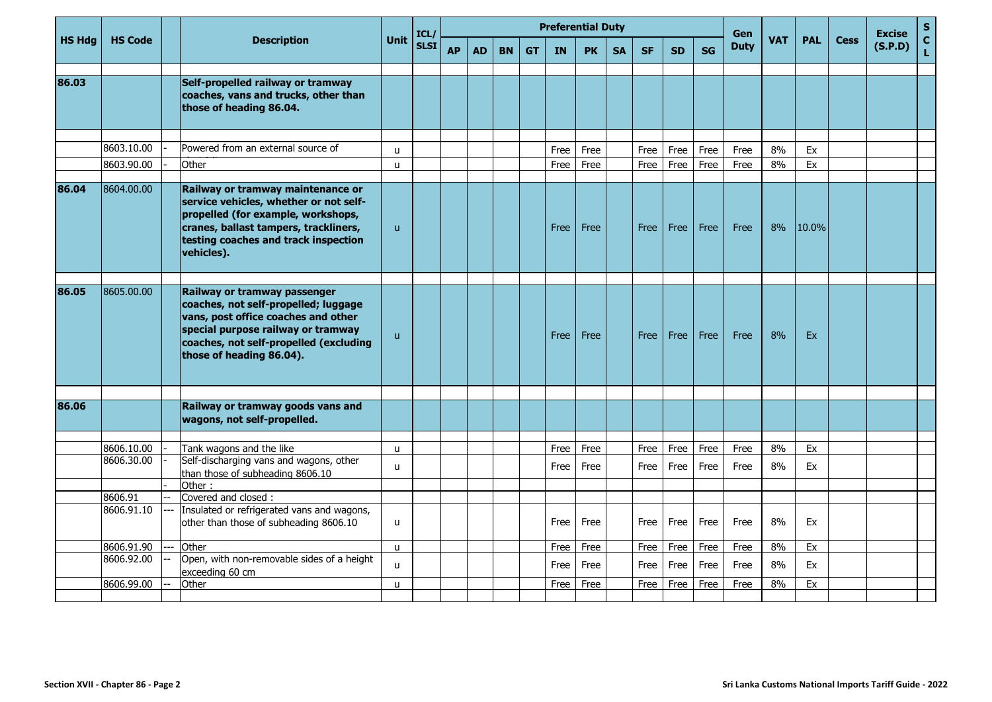|               |                       |  | <b>Description</b>                                                                                                                                                                                                      |                   | ICL/        |           |           |           |           |              | <b>Preferential Duty</b> |           |              |              |              | Gen          |            |            |             | <b>Excise</b> | ${\sf s}$         |
|---------------|-----------------------|--|-------------------------------------------------------------------------------------------------------------------------------------------------------------------------------------------------------------------------|-------------------|-------------|-----------|-----------|-----------|-----------|--------------|--------------------------|-----------|--------------|--------------|--------------|--------------|------------|------------|-------------|---------------|-------------------|
| <b>HS Hdg</b> | <b>HS Code</b>        |  |                                                                                                                                                                                                                         | Unit              | <b>SLSI</b> | <b>AP</b> | <b>AD</b> | <b>BN</b> | <b>GT</b> | <b>IN</b>    | <b>PK</b>                | <b>SA</b> | <b>SF</b>    | <b>SD</b>    | <b>SG</b>    | <b>Duty</b>  | <b>VAT</b> | <b>PAL</b> | <b>Cess</b> | (S.P.D)       | $\mathbf{C}$<br>L |
| 86.03         |                       |  | Self-propelled railway or tramway<br>coaches, vans and trucks, other than<br>those of heading 86.04.                                                                                                                    |                   |             |           |           |           |           |              |                          |           |              |              |              |              |            |            |             |               |                   |
|               | 8603.10.00            |  | Powered from an external source of                                                                                                                                                                                      |                   |             |           |           |           |           |              |                          |           |              |              |              |              | 8%         | Ex         |             |               |                   |
|               | 8603.90.00            |  | Other                                                                                                                                                                                                                   | u<br>$\mathbf{u}$ |             |           |           |           |           | Free<br>Free | Free<br>Free             |           | Free<br>Free | Free<br>Free | Free<br>Free | Free<br>Free | 8%         | Ex         |             |               |                   |
|               |                       |  |                                                                                                                                                                                                                         |                   |             |           |           |           |           |              |                          |           |              |              |              |              |            |            |             |               |                   |
| 86.04         | 8604.00.00            |  | Railway or tramway maintenance or<br>service vehicles, whether or not self-<br>propelled (for example, workshops,<br>cranes, ballast tampers, trackliners,<br>testing coaches and track inspection<br>vehicles).        | $\mathsf{u}$      |             |           |           |           |           | Free         | Free                     |           | <b>Free</b>  | Free         | Free         | Free         | 8%         | 10.0%      |             |               |                   |
| 86.05         | 8605.00.00            |  | Railway or tramway passenger<br>coaches, not self-propelled; luggage<br>vans, post office coaches and other<br>special purpose railway or tramway<br>coaches, not self-propelled (excluding<br>those of heading 86.04). | $\mathsf{u}$      |             |           |           |           |           | Free         | Free                     |           | Free         | Free         | Free         | Free         | 8%         | Ex         |             |               |                   |
|               |                       |  |                                                                                                                                                                                                                         |                   |             |           |           |           |           |              |                          |           |              |              |              |              |            |            |             |               |                   |
| 86.06         |                       |  | Railway or tramway goods vans and<br>wagons, not self-propelled.                                                                                                                                                        |                   |             |           |           |           |           |              |                          |           |              |              |              |              |            |            |             |               |                   |
|               | 8606.10.00            |  | Tank wagons and the like                                                                                                                                                                                                | $\mathbf{u}$      |             |           |           |           |           | Free         | Free                     |           | Free         | Free         | Free         | Free         | 8%         | Ex         |             |               |                   |
|               | 8606.30.00            |  | Self-discharging vans and wagons, other<br>than those of subheading 8606.10                                                                                                                                             | u                 |             |           |           |           |           | Free         | Free                     |           | Free         | Free         | Free         | Free         | 8%         | Ex         |             |               |                   |
|               |                       |  | Other:                                                                                                                                                                                                                  |                   |             |           |           |           |           |              |                          |           |              |              |              |              |            |            |             |               |                   |
|               | 8606.91<br>8606.91.10 |  | Covered and closed :<br>Insulated or refrigerated vans and wagons,                                                                                                                                                      |                   |             |           |           |           |           |              |                          |           |              |              |              |              |            |            |             |               |                   |
|               |                       |  | other than those of subheading 8606.10                                                                                                                                                                                  | <b>u</b>          |             |           |           |           |           | Free         | Free                     |           | Free         | Free         | Free         | Free         | 8%         | Ex         |             |               |                   |
|               | 8606.91.90            |  | Other                                                                                                                                                                                                                   | u                 |             |           |           |           |           | Free         | Free                     |           | Free         | Free         | Free         | Free         | 8%         | Ex         |             |               |                   |
|               | 8606.92.00            |  | Open, with non-removable sides of a height<br>exceeding 60 cm                                                                                                                                                           | u                 |             |           |           |           |           | Free         | Free                     |           | Free         | Free         | Free         | Free         | 8%         | Ex         |             |               |                   |
|               | 8606.99.00            |  | Other                                                                                                                                                                                                                   | $\mathbf{u}$      |             |           |           |           |           | Free         | Free                     |           | Free         | Free         | Free         | Free         | 8%         | Ex         |             |               |                   |
|               |                       |  |                                                                                                                                                                                                                         |                   |             |           |           |           |           |              |                          |           |              |              |              |              |            |            |             |               |                   |